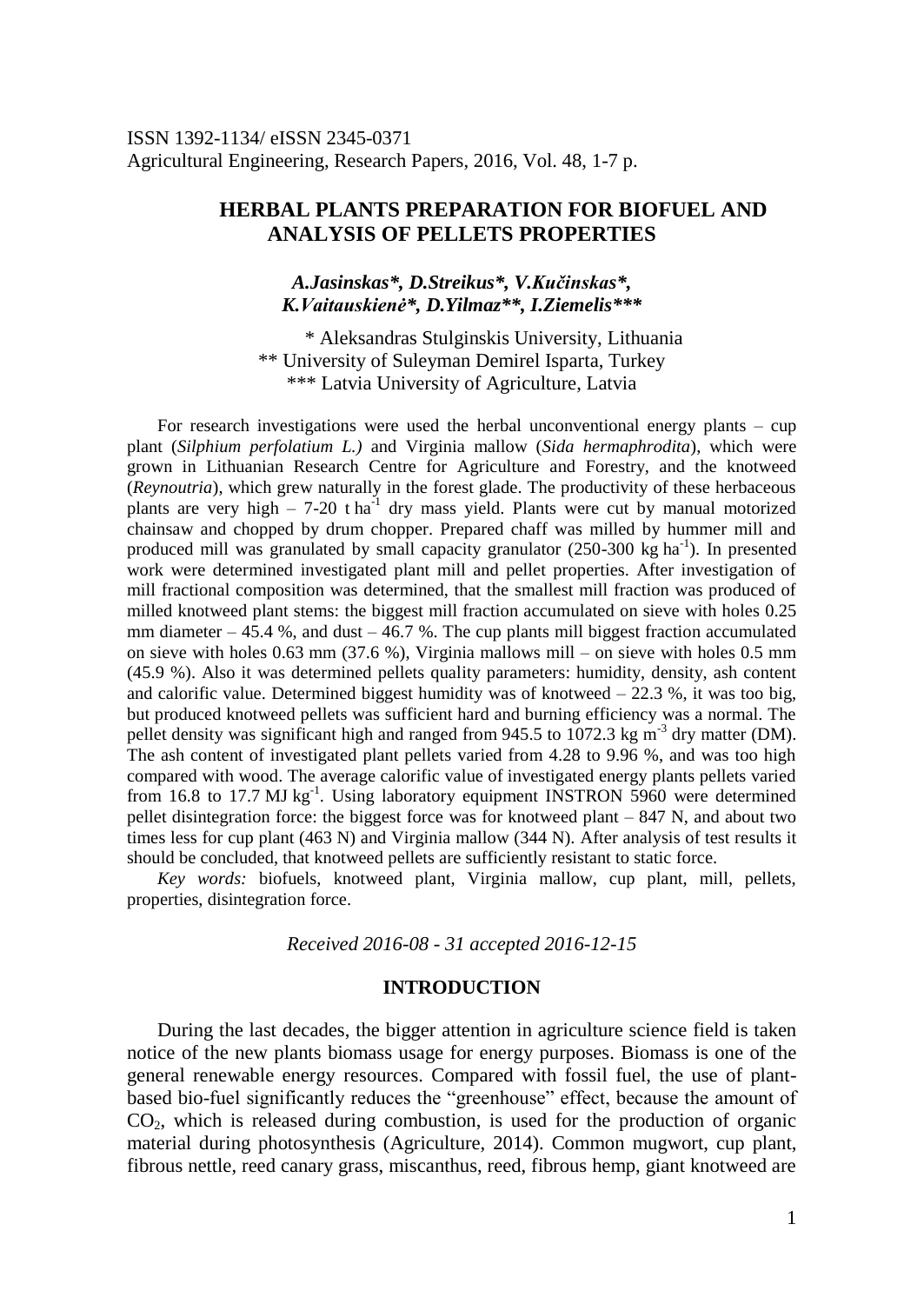# **HERBAL PLANTS PREPARATION FOR BIOFUEL AND ANALYSIS OF PELLETS PROPERTIES**

## *A.Jasinskas\*, D.Streikus\*, V.Kučinskas\*, K.Vaitauskienė\*, D.Yilmaz\*\*, I.Ziemelis\*\*\**

\* Aleksandras Stulginskis University, Lithuania \*\* University of Suleyman Demirel Isparta, Turkey \*\*\* Latvia University of Agriculture, Latvia

For research investigations were used the herbal unconventional energy plants – cup plant (*Silphium perfolatium L.)* and Virginia mallow (*Sida hermaphrodita*), which were grown in Lithuanian Research Centre for Agriculture and Forestry, and the knotweed (*Reynoutria*), which grew naturally in the forest glade. The productivity of these herbaceous plants are very high  $-7-20$  tha<sup>-1</sup> dry mass yield. Plants were cut by manual motorized chainsaw and chopped by drum chopper. Prepared chaff was milled by hummer mill and produced mill was granulated by small capacity granulator (250-300 kg ha<sup>-1</sup>). In presented work were determined investigated plant mill and pellet properties. After investigation of mill fractional composition was determined, that the smallest mill fraction was produced of milled knotweed plant stems: the biggest mill fraction accumulated on sieve with holes 0.25 mm diameter  $-45.4$  %, and dust  $-46.7$  %. The cup plants mill biggest fraction accumulated on sieve with holes 0.63 mm (37.6 %), Virginia mallows mill – on sieve with holes 0.5 mm (45.9 %). Also it was determined pellets quality parameters: humidity, density, ash content and calorific value. Determined biggest humidity was of knotweed  $-22.3$  %, it was too big, but produced knotweed pellets was sufficient hard and burning efficiency was a normal. The pellet density was significant high and ranged from 945.5 to 1072.3 kg  $\text{m}^3$  dry matter (DM). The ash content of investigated plant pellets varied from 4.28 to 9.96 %, and was too high compared with wood. The average calorific value of investigated energy plants pellets varied from 16.8 to 17.7 MJ kg<sup>-1</sup>. Using laboratory equipment INSTRON 5960 were determined pellet disintegration force: the biggest force was for knotweed plant  $-847$  N, and about two times less for cup plant (463 N) and Virginia mallow (344 N). After analysis of test results it should be concluded, that knotweed pellets are sufficiently resistant to static force.

*Key words:* biofuels, knotweed plant, Virginia mallow, cup plant, mill, pellets, properties, disintegration force.

*Received 2016-08 - 31 accepted 2016-12-15*

#### **INTRODUCTION**

During the last decades, the bigger attention in agriculture science field is taken notice of the new plants biomass usage for energy purposes. Biomass is one of the general renewable energy resources. Compared with fossil fuel, the use of plantbased bio-fuel significantly reduces the "greenhouse" effect, because the amount of  $CO<sub>2</sub>$ , which is released during combustion, is used for the production of organic material during photosynthesis (Agriculture, 2014). Common mugwort, cup plant, fibrous nettle, reed canary grass, miscanthus, reed, fibrous hemp, giant knotweed are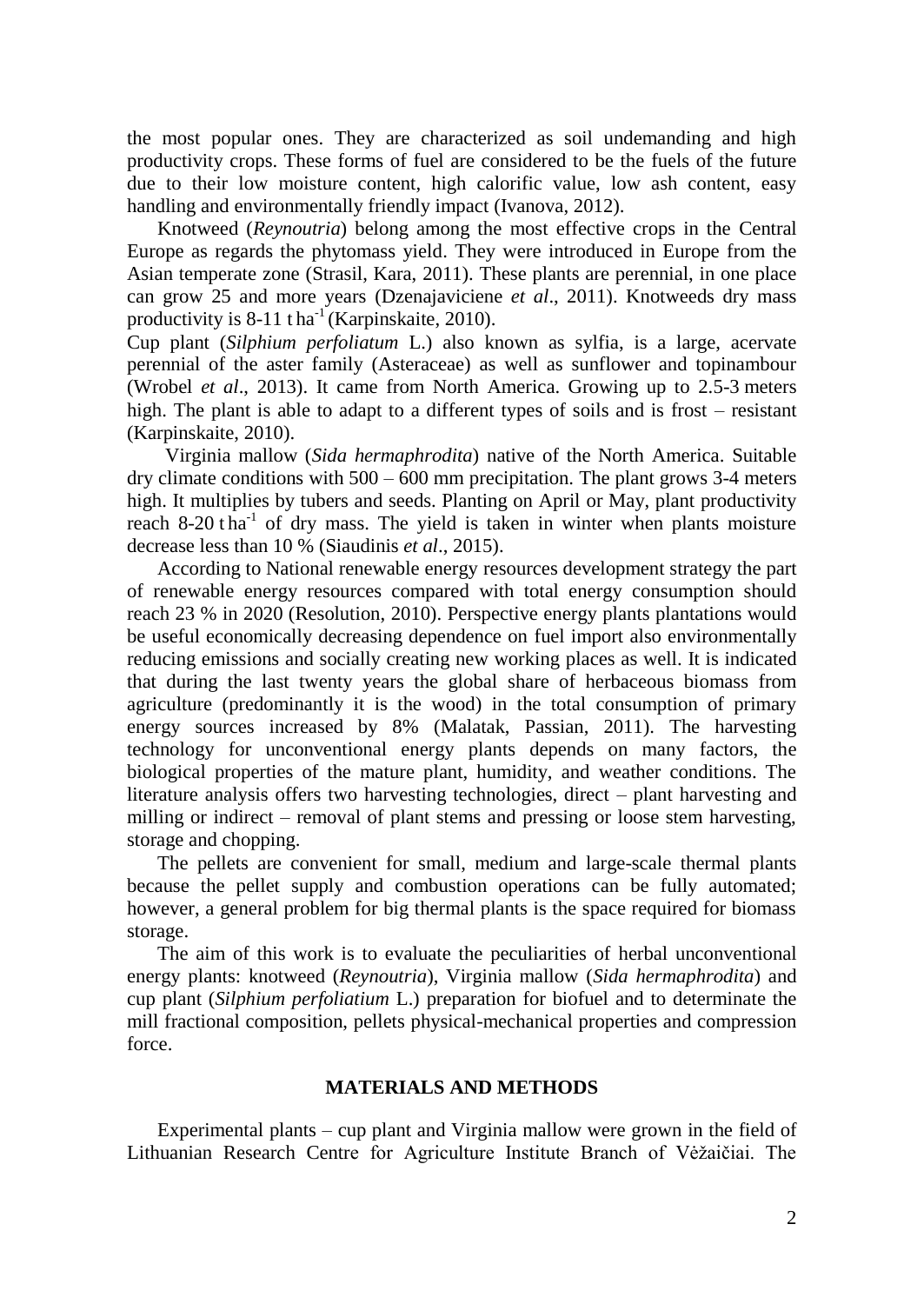the most popular ones. They are characterized as soil undemanding and high productivity crops. These forms of fuel are considered to be the fuels of the future due to their low moisture content, high calorific value, low ash content, easy handling and environmentally friendly impact (Ivanova, 2012).

Knotweed (*Reynoutria*) belong among the most effective crops in the Central Europe as regards the phytomass yield. They were introduced in Europe from the Asian temperate zone (Strasil, Kara, 2011). These plants are perennial, in one place can grow 25 and more years (Dzenajaviciene *et al*., 2011). Knotweeds dry mass productivity is  $8-11$  tha<sup>-1</sup> (Karpinskaite, 2010).

Cup plant (*Silphium perfoliatum* L.) also known as sylfia, is a large, acervate perennial of the aster family (Asteraceae) as well as sunflower and topinambour (Wrobel *et al*., 2013). It came from North America. Growing up to 2.5-3 meters high. The plant is able to adapt to a different types of soils and is frost – resistant (Karpinskaite, 2010).

Virginia mallow (*Sida hermaphrodita*) native of the North America. Suitable dry climate conditions with 500 – 600 mm precipitation. The plant grows 3-4 meters high. It multiplies by tubers and seeds. Planting on April or May, plant productivity reach  $8-20$  tha<sup>-1</sup> of dry mass. The yield is taken in winter when plants moisture decrease less than 10 % (Siaudinis *et al*., 2015).

According to National renewable energy resources development strategy the part of renewable energy resources compared with total energy consumption should reach 23 % in 2020 (Resolution, 2010). Perspective energy plants plantations would be useful economically decreasing dependence on fuel import also environmentally reducing emissions and socially creating new working places as well. It is indicated that during the last twenty years the global share of herbaceous biomass from agriculture (predominantly it is the wood) in the total consumption of primary energy sources increased by 8% (Malatak, Passian, 2011). The harvesting technology for unconventional energy plants depends on many factors, the biological properties of the mature plant, humidity, and weather conditions. The literature analysis offers two harvesting technologies, direct – plant harvesting and milling or indirect – removal of plant stems and pressing or loose stem harvesting, storage and chopping.

The pellets are convenient for small, medium and large-scale thermal plants because the pellet supply and combustion operations can be fully automated; however, a general problem for big thermal plants is the space required for biomass storage.

The aim of this work is to evaluate the peculiarities of herbal unconventional energy plants: knotweed (*Reynoutria*), Virginia mallow (*Sida hermaphrodita*) and cup plant (*Silphium perfoliatium* L.) preparation for biofuel and to determinate the mill fractional composition, pellets physical-mechanical properties and compression force.

### **MATERIALS AND METHODS**

Experimental plants – cup plant and Virginia mallow were grown in the field of Lithuanian Research Centre for Agriculture Institute Branch of Vėžaičiai. The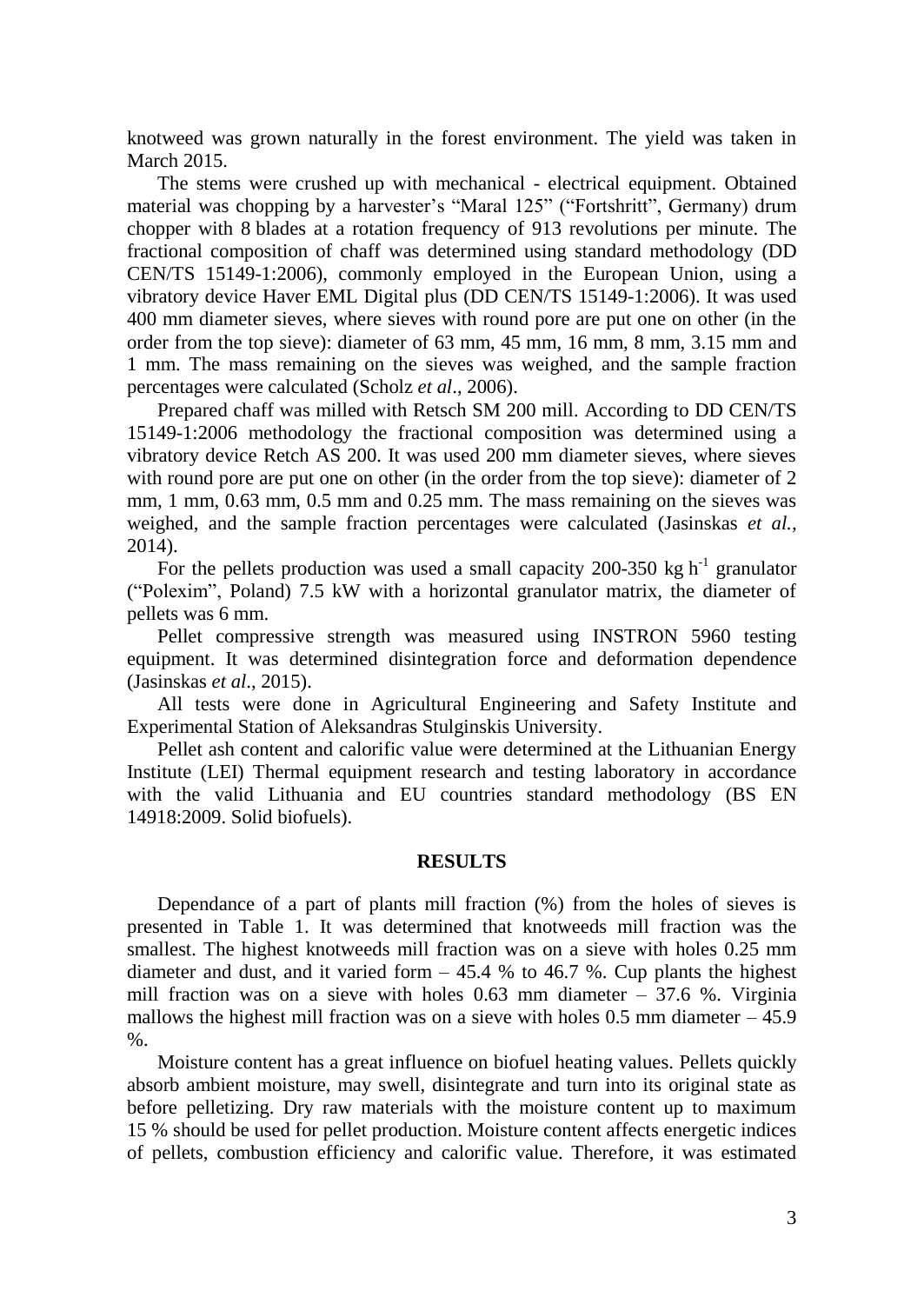knotweed was grown naturally in the forest environment. The yield was taken in March 2015.

The stems were crushed up with mechanical - electrical equipment. Obtained material was chopping by a harvester's "Maral 125" ("Fortshritt", Germany) drum chopper with 8 blades at a rotation frequency of 913 revolutions per minute. The fractional composition of chaff was determined using standard methodology (DD CEN/TS 15149-1:2006), commonly employed in the European Union, using a vibratory device Haver EML Digital plus (DD CEN/TS 15149-1:2006). It was used 400 mm diameter sieves, where sieves with round pore are put one on other (in the order from the top sieve): diameter of 63 mm, 45 mm, 16 mm, 8 mm, 3.15 mm and 1 mm. The mass remaining on the sieves was weighed, and the sample fraction percentages were calculated (Scholz *et al*., 2006).

Prepared chaff was milled with Retsch SM 200 mill. According to DD CEN/TS 15149-1:2006 methodology the fractional composition was determined using a vibratory device Retch AS 200. It was used 200 mm diameter sieves, where sieves with round pore are put one on other (in the order from the top sieve): diameter of 2 mm, 1 mm, 0.63 mm, 0.5 mm and 0.25 mm. The mass remaining on the sieves was weighed, and the sample fraction percentages were calculated (Jasinskas *et al.,* 2014).

For the pellets production was used a small capacity 200-350 kg  $h^{-1}$  granulator ("Polexim", Poland) 7.5 kW with a horizontal granulator matrix, the diameter of pellets was 6 mm.

Pellet compressive strength was measured using INSTRON 5960 testing equipment. It was determined disintegration force and deformation dependence (Jasinskas *et al*., 2015).

All tests were done in Agricultural Engineering and Safety Institute and Experimental Station of Aleksandras Stulginskis University.

Pellet ash content and calorific value were determined at the Lithuanian Energy Institute (LEI) Thermal equipment research and testing laboratory in accordance with the valid Lithuania and EU countries standard methodology (BS EN 14918:2009. Solid biofuels).

#### **RESULTS**

Dependance of a part of plants mill fraction (%) from the holes of sieves is presented in Table 1. It was determined that knotweeds mill fraction was the smallest. The highest knotweeds mill fraction was on a sieve with holes 0.25 mm diameter and dust, and it varied form  $-45.4$  % to 46.7 %. Cup plants the highest mill fraction was on a sieve with holes  $0.63$  mm diameter  $-37.6$  %. Virginia mallows the highest mill fraction was on a sieve with holes  $0.5$  mm diameter  $-45.9$ %.

Moisture content has a great influence on biofuel heating values. Pellets quickly absorb ambient moisture, may swell, disintegrate and turn into its original state as before pelletizing. Dry raw materials with the moisture content up to maximum 15 % should be used for pellet production. Moisture content affects energetic indices of pellets, combustion efficiency and calorific value. Therefore, it was estimated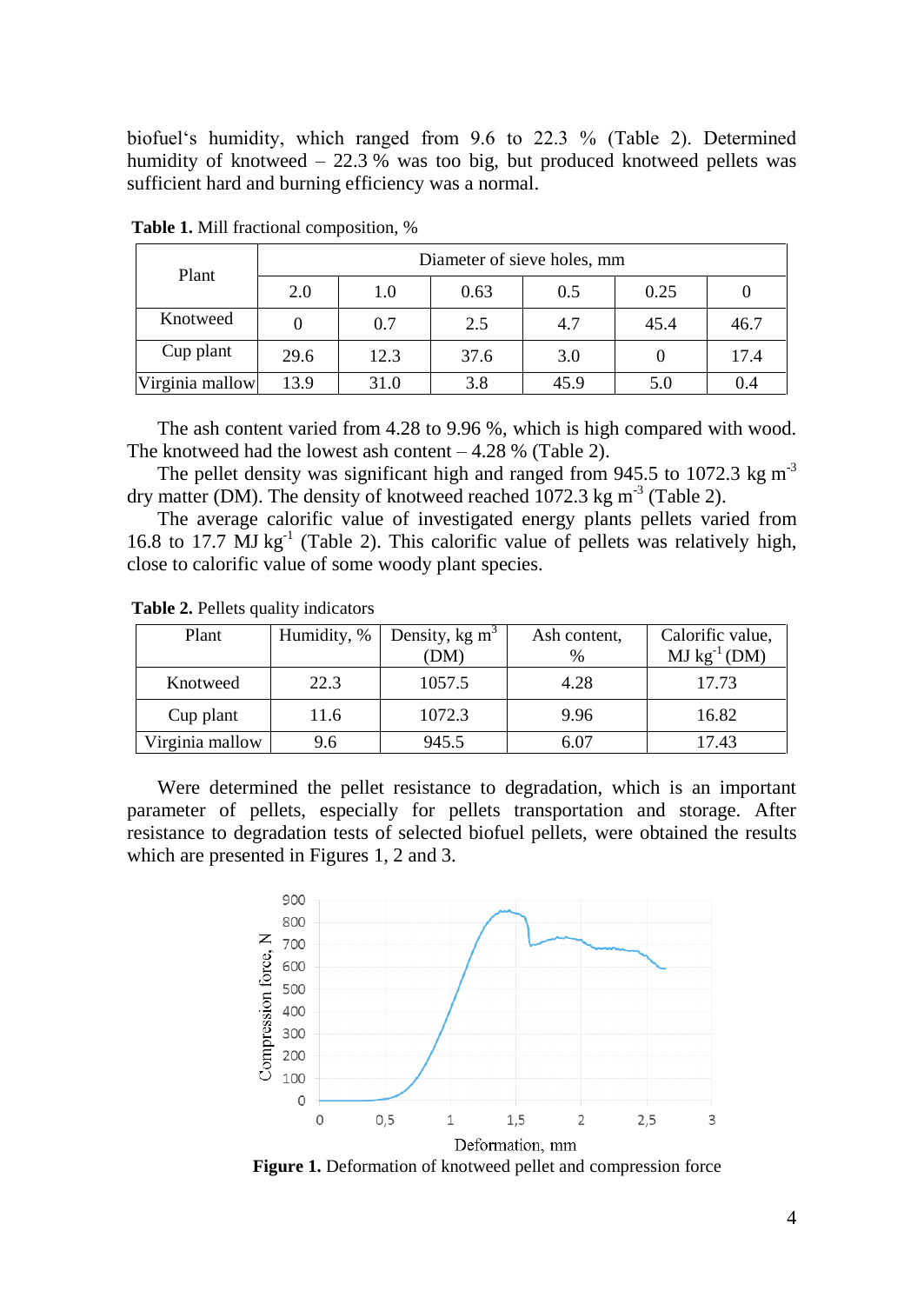biofuel's humidity, which ranged from 9.6 to 22.3 % (Table 2). Determined humidity of knotweed  $-22.3$  % was too big, but produced knotweed pellets was sufficient hard and burning efficiency was a normal.

| Plant           | Diameter of sieve holes, mm |      |      |      |      |      |  |
|-----------------|-----------------------------|------|------|------|------|------|--|
|                 | 2.0                         | 1.0  | 0.63 | 0.5  | 0.25 |      |  |
| Knotweed        |                             | 0.7  | 2.5  | 4.7  | 45.4 | 46.7 |  |
| Cup plant       | 29.6                        | 12.3 | 37.6 | 3.0  |      | 17.4 |  |
| Virginia mallow | 13.9                        | 31.0 | 3.8  | 45.9 | 5.0  | 0.4  |  |

**Table 1.** Mill fractional composition, %

The ash content varied from 4.28 to 9.96 %, which is high compared with wood. The knotweed had the lowest ash content  $-4.28\%$  (Table 2).

The pellet density was significant high and ranged from 945.5 to 1072.3 kg  $m<sup>3</sup>$ dry matter (DM). The density of knotweed reached  $1072.3$  kg m<sup>-3</sup> (Table 2).

The average calorific value of investigated energy plants pellets varied from 16.8 to 17.7  $\text{MJ}$  kg<sup>-1</sup> (Table 2). This calorific value of pellets was relatively high, close to calorific value of some woody plant species.

| Plant           | Humidity, % | Density, $kg \, \text{m}^3$<br>(DM) | Ash content.<br>$\%$ | Calorific value,<br>$MJ kg^{-1}(DM)$ |
|-----------------|-------------|-------------------------------------|----------------------|--------------------------------------|
| Knotweed        | 22.3        | 1057.5                              | 4.28                 | 17.73                                |
| Cup plant       | 11.6        | 1072.3                              | 9.96                 | 16.82                                |
| Virginia mallow | 9.6         | 945.5                               | 6.07                 | 7.43                                 |

**Table 2.** Pellets quality indicators

Were determined the pellet resistance to degradation, which is an important parameter of pellets, especially for pellets transportation and storage. After resistance to degradation tests of selected biofuel pellets, were obtained the results which are presented in Figures 1, 2 and 3.



**Figure 1.** Deformation of knotweed pellet and compression force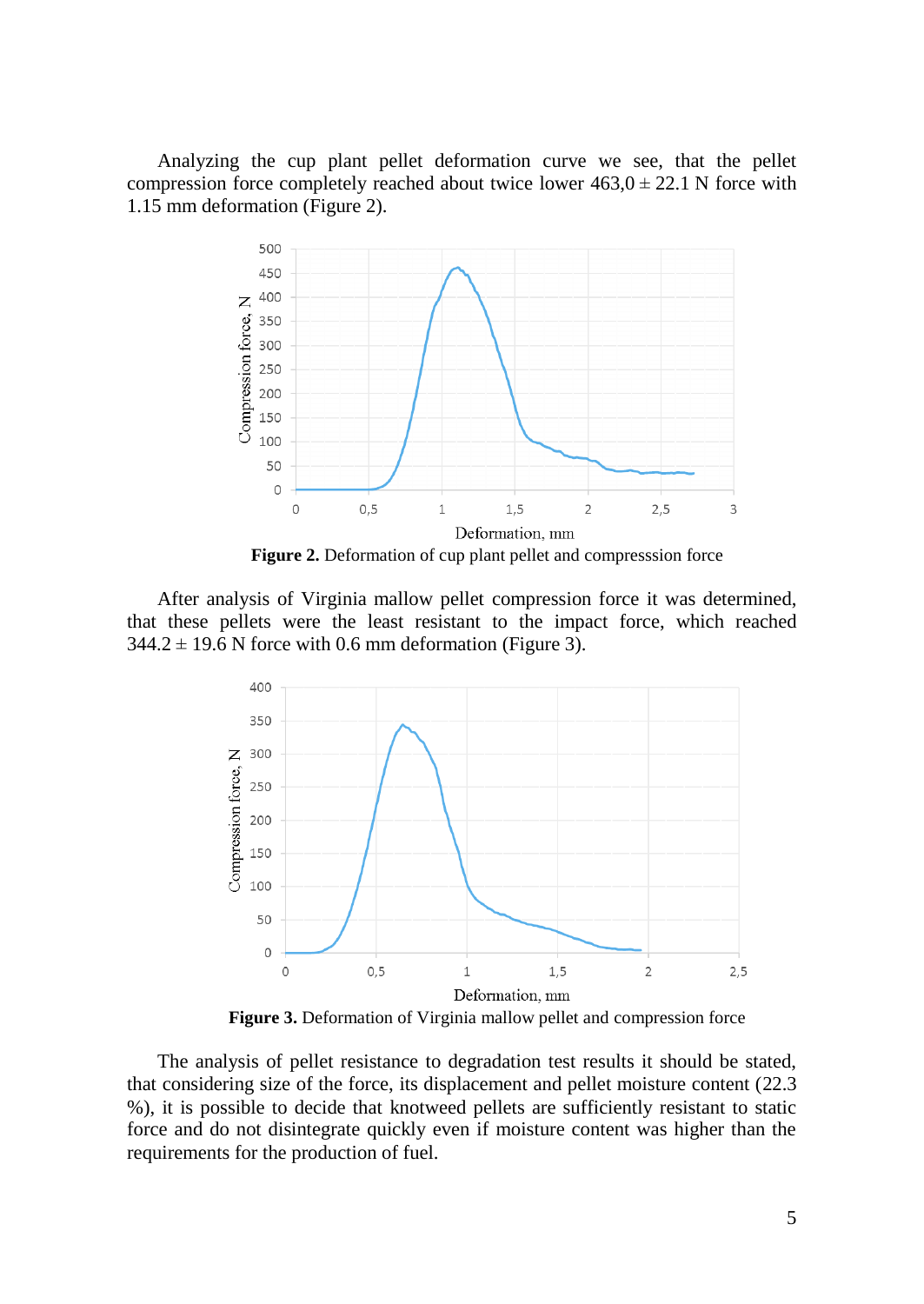Analyzing the cup plant pellet deformation curve we see, that the pellet compression force completely reached about twice lower  $463,0 \pm 22.1$  N force with 1.15 mm deformation (Figure 2).



**Figure 2.** Deformation of cup plant pellet and compresssion force

After analysis of Virginia mallow pellet compression force it was determined, that these pellets were the least resistant to the impact force, which reached  $344.2 \pm 19.6$  N force with 0.6 mm deformation (Figure 3).



**Figure 3.** Deformation of Virginia mallow pellet and compression force

The analysis of pellet resistance to degradation test results it should be stated, that considering size of the force, its displacement and pellet moisture content (22.3 %), it is possible to decide that knotweed pellets are sufficiently resistant to static force and do not disintegrate quickly even if moisture content was higher than the requirements for the production of fuel.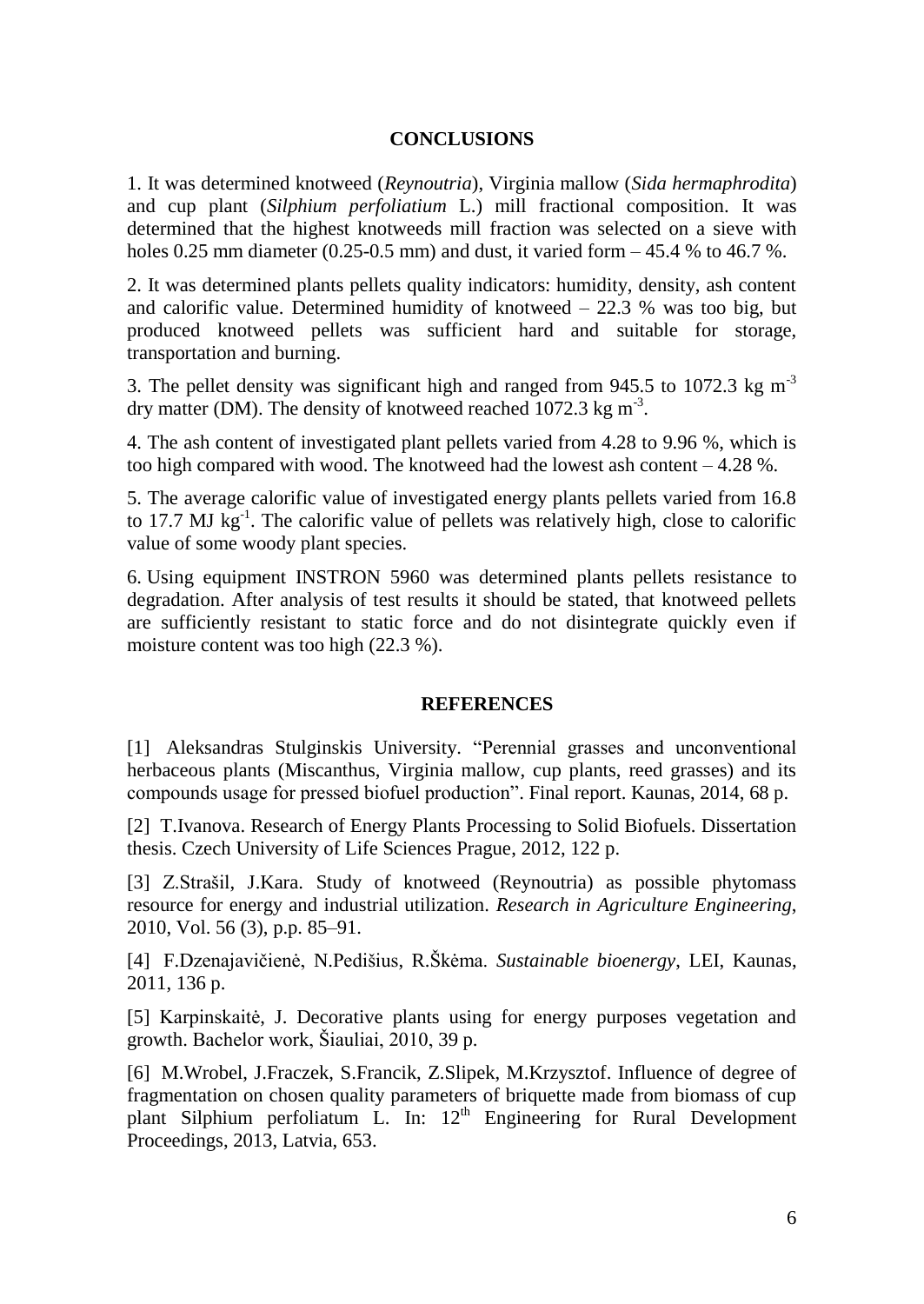## **CONCLUSIONS**

1. It was determined knotweed (*Reynoutria*), Virginia mallow (*Sida hermaphrodita*) and cup plant (*Silphium perfoliatium* L.) mill fractional composition. It was determined that the highest knotweeds mill fraction was selected on a sieve with holes 0.25 mm diameter (0.25-0.5 mm) and dust, it varied form  $-45.4$  % to 46.7 %.

2. It was determined plants pellets quality indicators: humidity, density, ash content and calorific value. Determined humidity of knotweed  $-22.3$  % was too big, but produced knotweed pellets was sufficient hard and suitable for storage, transportation and burning.

3. The pellet density was significant high and ranged from  $945.5$  to 1072.3 kg m<sup>-3</sup> dry matter (DM). The density of knotweed reached 1072.3 kg m<sup>-3</sup>.

4. The ash content of investigated plant pellets varied from 4.28 to 9.96 %, which is too high compared with wood. The knotweed had the lowest ash content – 4.28 %.

5. The average calorific value of investigated energy plants pellets varied from 16.8 to 17.7 MJ  $\text{kg}^{-1}$ . The calorific value of pellets was relatively high, close to calorific value of some woody plant species.

6. Using equipment INSTRON 5960 was determined plants pellets resistance to degradation. After analysis of test results it should be stated, that knotweed pellets are sufficiently resistant to static force and do not disintegrate quickly even if moisture content was too high (22.3 %).

### **REFERENCES**

[1] Aleksandras Stulginskis University. "Perennial grasses and unconventional herbaceous plants (Miscanthus, Virginia mallow, cup plants, reed grasses) and its compounds usage for pressed biofuel production". Final report. Kaunas, 2014, 68 p.

[2] T.Ivanova. Research of Energy Plants Processing to Solid Biofuels. Dissertation thesis. Czech University of Life Sciences Prague, 2012, 122 p.

[3] Z.Strašil, J.Kara. Study of knotweed (Reynoutria) as possible phytomass resource for energy and industrial utilization. *Research in Agriculture Engineering*, 2010, Vol. 56 (3), p.p. 85–91.

[4] F.Dzenajavičienė, N.Pedišius, R.Škėma. *Sustainable bioenergy*, LEI, Kaunas, 2011, 136 p.

[5] Karpinskaitė, J. Decorative plants using for energy purposes vegetation and growth. Bachelor work, Šiauliai, 2010, 39 p.

[6] M.Wrobel, J.Fraczek, S.Francik, Z.Slipek, M.Krzysztof. Influence of degree of fragmentation on chosen quality parameters of briquette made from biomass of cup plant Silphium perfoliatum L. In: 12<sup>th</sup> Engineering for Rural Development Proceedings, 2013, Latvia, 653.